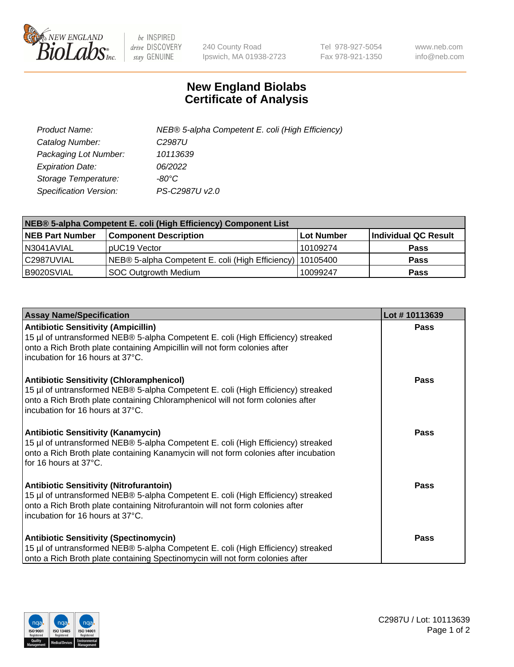

 $be$  INSPIRED drive DISCOVERY stay GENUINE

240 County Road Ipswich, MA 01938-2723 Tel 978-927-5054 Fax 978-921-1350 www.neb.com info@neb.com

## **New England Biolabs Certificate of Analysis**

| Product Name:           | NEB® 5-alpha Competent E. coli (High Efficiency) |
|-------------------------|--------------------------------------------------|
| Catalog Number:         | C <sub>2987</sub> U                              |
| Packaging Lot Number:   | 10113639                                         |
| <b>Expiration Date:</b> | 06/2022                                          |
| Storage Temperature:    | -80°C                                            |
| Specification Version:  | PS-C2987U v2.0                                   |

| NEB® 5-alpha Competent E. coli (High Efficiency) Component List |                                                             |            |                      |  |
|-----------------------------------------------------------------|-------------------------------------------------------------|------------|----------------------|--|
| <b>NEB Part Number</b>                                          | <b>Component Description</b>                                | Lot Number | Individual QC Result |  |
| N3041AVIAL                                                      | pUC19 Vector                                                | 10109274   | <b>Pass</b>          |  |
| C2987UVIAL                                                      | NEB® 5-alpha Competent E. coli (High Efficiency)   10105400 |            | <b>Pass</b>          |  |
| B9020SVIAL                                                      | SOC Outgrowth Medium                                        | 10099247   | <b>Pass</b>          |  |

| <b>Assay Name/Specification</b>                                                                                                                                                                                                                              | Lot #10113639 |
|--------------------------------------------------------------------------------------------------------------------------------------------------------------------------------------------------------------------------------------------------------------|---------------|
| <b>Antibiotic Sensitivity (Ampicillin)</b><br>15 µl of untransformed NEB® 5-alpha Competent E. coli (High Efficiency) streaked<br>onto a Rich Broth plate containing Ampicillin will not form colonies after<br>incubation for 16 hours at 37°C.             | <b>Pass</b>   |
| <b>Antibiotic Sensitivity (Chloramphenicol)</b><br>15 µl of untransformed NEB® 5-alpha Competent E. coli (High Efficiency) streaked<br>onto a Rich Broth plate containing Chloramphenicol will not form colonies after<br>l incubation for 16 hours at 37°C. | Pass          |
| <b>Antibiotic Sensitivity (Kanamycin)</b><br>15 µl of untransformed NEB® 5-alpha Competent E. coli (High Efficiency) streaked<br>onto a Rich Broth plate containing Kanamycin will not form colonies after incubation<br>for 16 hours at 37°C.               | Pass          |
| <b>Antibiotic Sensitivity (Nitrofurantoin)</b><br>15 µl of untransformed NEB® 5-alpha Competent E. coli (High Efficiency) streaked<br>onto a Rich Broth plate containing Nitrofurantoin will not form colonies after<br>incubation for 16 hours at 37°C.     | <b>Pass</b>   |
| <b>Antibiotic Sensitivity (Spectinomycin)</b><br>15 µl of untransformed NEB® 5-alpha Competent E. coli (High Efficiency) streaked<br>onto a Rich Broth plate containing Spectinomycin will not form colonies after                                           | <b>Pass</b>   |